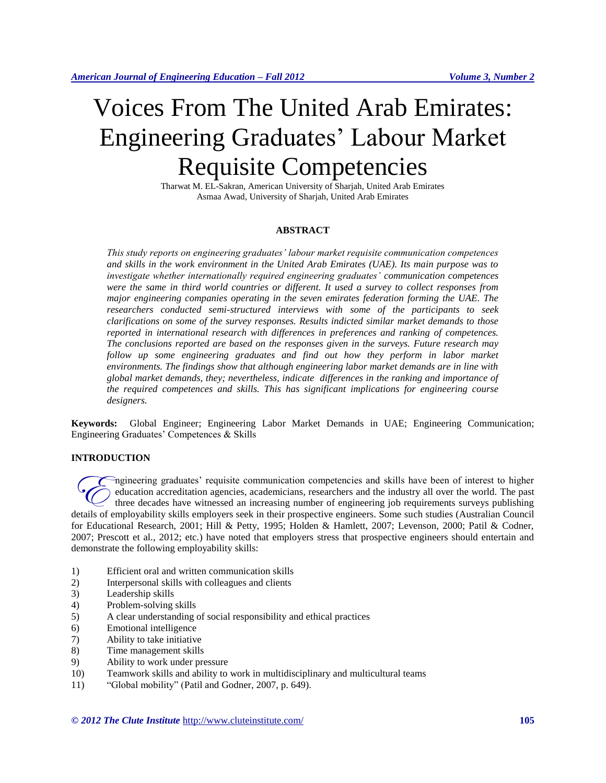# Voices From The United Arab Emirates: Engineering Graduates' Labour Market Requisite Competencies

Tharwat M. EL-Sakran, American University of Sharjah, United Arab Emirates Asmaa Awad, University of Sharjah, United Arab Emirates

# **ABSTRACT**

*This study reports on engineering graduates' labour market requisite communication competences and skills in the work environment in the United Arab Emirates (UAE). Its main purpose was to investigate whether internationally required engineering graduates' communication competences were the same in third world countries or different. It used a survey to collect responses from major engineering companies operating in the seven emirates federation forming the UAE. The researchers conducted semi-structured interviews with some of the participants to seek clarifications on some of the survey responses. Results indicted similar market demands to those reported in international research with differences in preferences and ranking of competences. The conclusions reported are based on the responses given in the surveys. Future research may follow up some engineering graduates and find out how they perform in labor market environments. The findings show that although engineering labor market demands are in line with global market demands, they; nevertheless, indicate differences in the ranking and importance of the required competences and skills. This has significant implications for engineering course designers.*

**Keywords:** Global Engineer; Engineering Labor Market Demands in UAE; Engineering Communication; Engineering Graduates' Competences & Skills

# **INTRODUCTION**

ngineering graduates' requisite communication competencies and skills have been of interest to higher education accreditation agencies, academicians, researchers and the industry all over the world. The past three decades have witnessed an increasing number of engineering job requirements surveys publishing regineering graduates' requisite communication competencies and skills have been of interest to higher education accreditation agencies, academicians, researchers and the industry all over the world. The past three decades for Educational Research, 2001; Hill & Petty, 1995; Holden & Hamlett, 2007; Levenson, 2000; Patil & Codner, 2007; Prescott et al., 2012; etc.) have noted that employers stress that prospective engineers should entertain and demonstrate the following employability skills:

- 1) Efficient oral and written communication skills
- 2) Interpersonal skills with colleagues and clients
- 3) Leadership skills
- 4) Problem-solving skills
- 5) A clear understanding of social responsibility and ethical practices
- 6) Emotional intelligence
- 7) Ability to take initiative
- 8) Time management skills
- 9) Ability to work under pressure
- 10) Teamwork skills and ability to work in multidisciplinary and multicultural teams
- 11) "Global mobility" (Patil and Godner, 2007, p. 649).

*© 2012 The Clute Institute* http://www.cluteinstitute.com/ **105**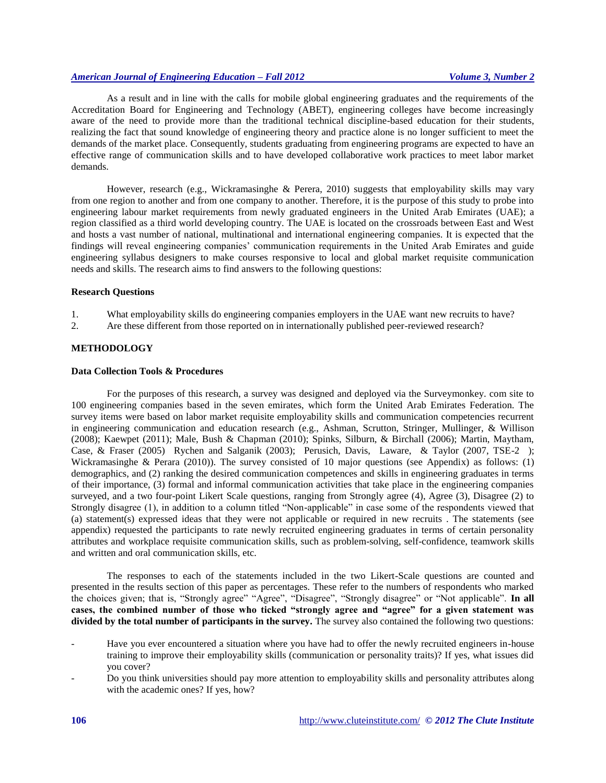As a result and in line with the calls for mobile global engineering graduates and the requirements of the Accreditation Board for Engineering and Technology (ABET), engineering colleges have become increasingly aware of the need to provide more than the traditional technical discipline-based education for their students, realizing the fact that sound knowledge of engineering theory and practice alone is no longer sufficient to meet the demands of the market place. Consequently, students graduating from engineering programs are expected to have an effective range of communication skills and to have developed collaborative work practices to meet labor market demands.

However, research (e.g., Wickramasinghe & Perera, 2010) suggests that employability skills may vary from one region to another and from one company to another. Therefore, it is the purpose of this study to probe into engineering labour market requirements from newly graduated engineers in the United Arab Emirates (UAE); a region classified as a third world developing country. The UAE is located on the crossroads between East and West and hosts a vast number of national, multinational and international engineering companies. It is expected that the findings will reveal engineering companies' communication requirements in the United Arab Emirates and guide engineering syllabus designers to make courses responsive to local and global market requisite communication needs and skills. The research aims to find answers to the following questions:

#### **Research Questions**

- 1. What employability skills do engineering companies employers in the UAE want new recruits to have?
- 2. Are these different from those reported on in internationally published peer-reviewed research?

# **METHODOLOGY**

#### **Data Collection Tools & Procedures**

For the purposes of this research, a survey was designed and deployed via the Surveymonkey. com site to 100 engineering companies based in the seven emirates, which form the United Arab Emirates Federation. The survey items were based on labor market requisite employability skills and communication competencies recurrent in engineering communication and education research (e.g., Ashman, Scrutton, Stringer, Mullinger, & Willison (2008); Kaewpet (2011); Male, Bush & Chapman (2010); Spinks, Silburn, & Birchall (2006); Martin, Maytham, Case, & Fraser (2005) Rychen and Salganik (2003); Perusich, Davis, Laware, & Taylor (2007, TSE-2 ); Wickramasinghe & Perara (2010)). The survey consisted of 10 major questions (see Appendix) as follows: (1) demographics, and (2) ranking the desired communication competences and skills in engineering graduates in terms of their importance, (3) formal and informal communication activities that take place in the engineering companies surveyed, and a two four-point Likert Scale questions, ranging from Strongly agree (4), Agree (3), Disagree (2) to Strongly disagree (1), in addition to a column titled "Non-applicable" in case some of the respondents viewed that (a) statement(s) expressed ideas that they were not applicable or required in new recruits . The statements (see appendix) requested the participants to rate newly recruited engineering graduates in terms of certain personality attributes and workplace requisite communication skills, such as problem-solving, self-confidence, teamwork skills and written and oral communication skills, etc.

The responses to each of the statements included in the two Likert-Scale questions are counted and presented in the results section of this paper as percentages. These refer to the numbers of respondents who marked the choices given; that is, "Strongly agree" "Agree", "Disagree", "Strongly disagree" or "Not applicable". **In all cases, the combined number of those who ticked "strongly agree and "agree" for a given statement was divided by the total number of participants in the survey.** The survey also contained the following two questions:

Have you ever encountered a situation where you have had to offer the newly recruited engineers in-house training to improve their employability skills (communication or personality traits)? If yes, what issues did you cover?

<sup>-</sup> Do you think universities should pay more attention to employability skills and personality attributes along with the academic ones? If yes, how?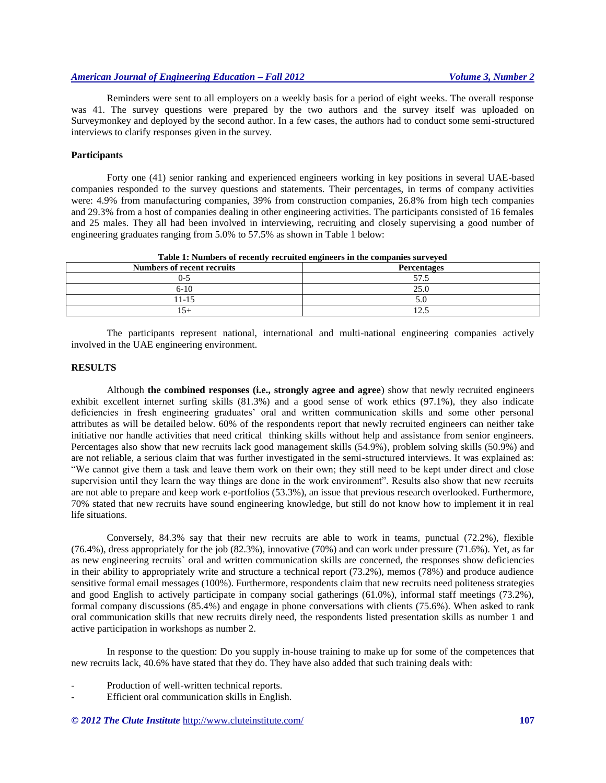Reminders were sent to all employers on a weekly basis for a period of eight weeks. The overall response was 41. The survey questions were prepared by the two authors and the survey itself was uploaded on Surveymonkey and deployed by the second author. In a few cases, the authors had to conduct some semi-structured interviews to clarify responses given in the survey.

#### **Participants**

Forty one (41) senior ranking and experienced engineers working in key positions in several UAE-based companies responded to the survey questions and statements. Their percentages, in terms of company activities were: 4.9% from manufacturing companies, 39% from construction companies, 26.8% from high tech companies and 29.3% from a host of companies dealing in other engineering activities. The participants consisted of 16 females and 25 males. They all had been involved in interviewing, recruiting and closely supervising a good number of engineering graduates ranging from 5.0% to 57.5% as shown in Table 1 below:

| Table 1. Numbers of recently recruited engineers in the companies surveyed |                    |  |  |  |  |
|----------------------------------------------------------------------------|--------------------|--|--|--|--|
| <b>Numbers of recent recruits</b>                                          | <b>Percentages</b> |  |  |  |  |
| - ( )                                                                      |                    |  |  |  |  |
| $6-10$                                                                     | 25.0               |  |  |  |  |
| 11-15                                                                      |                    |  |  |  |  |
|                                                                            | ت که ۱             |  |  |  |  |

**Table 1: Numbers of recently recruited engineers in the companies surveyed**

The participants represent national, international and multi-national engineering companies actively involved in the UAE engineering environment.

#### **RESULTS**

Although **the combined responses (i.e., strongly agree and agree**) show that newly recruited engineers exhibit excellent internet surfing skills (81.3%) and a good sense of work ethics (97.1%), they also indicate deficiencies in fresh engineering graduates' oral and written communication skills and some other personal attributes as will be detailed below. 60% of the respondents report that newly recruited engineers can neither take initiative nor handle activities that need critical thinking skills without help and assistance from senior engineers. Percentages also show that new recruits lack good management skills (54.9%), problem solving skills (50.9%) and are not reliable, a serious claim that was further investigated in the semi-structured interviews. It was explained as: "We cannot give them a task and leave them work on their own; they still need to be kept under direct and close supervision until they learn the way things are done in the work environment". Results also show that new recruits are not able to prepare and keep work e-portfolios (53.3%), an issue that previous research overlooked. Furthermore, 70% stated that new recruits have sound engineering knowledge, but still do not know how to implement it in real life situations.

Conversely, 84.3% say that their new recruits are able to work in teams, punctual (72.2%), flexible (76.4%), dress appropriately for the job (82.3%), innovative (70%) and can work under pressure (71.6%). Yet, as far as new engineering recruits` oral and written communication skills are concerned, the responses show deficiencies in their ability to appropriately write and structure a technical report (73.2%), memos (78%) and produce audience sensitive formal email messages (100%). Furthermore, respondents claim that new recruits need politeness strategies and good English to actively participate in company social gatherings (61.0%), informal staff meetings (73.2%), formal company discussions (85.4%) and engage in phone conversations with clients (75.6%). When asked to rank oral communication skills that new recruits direly need, the respondents listed presentation skills as number 1 and active participation in workshops as number 2.

In response to the question: Do you supply in-house training to make up for some of the competences that new recruits lack, 40.6% have stated that they do. They have also added that such training deals with:

- Production of well-written technical reports.
- Efficient oral communication skills in English.

*© 2012 The Clute Institute* http://www.cluteinstitute.com/ **107**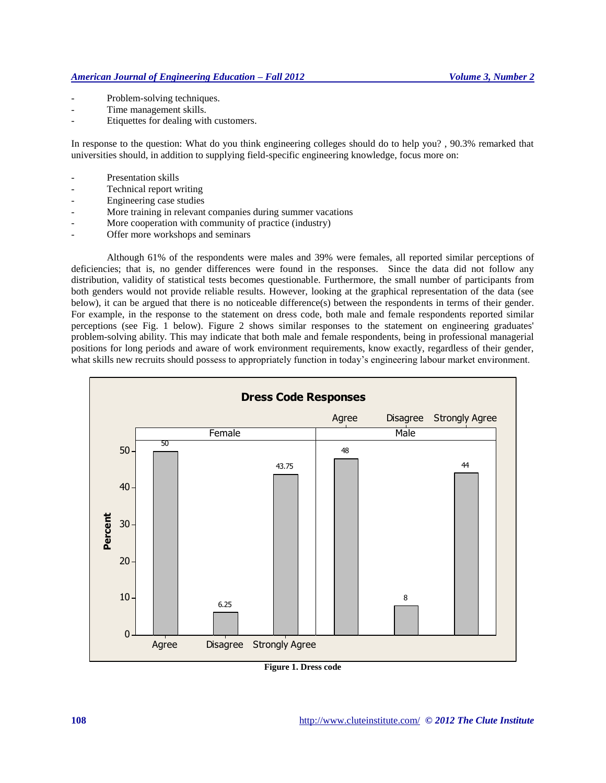- Problem-solving techniques.
- Time management skills.
- Etiquettes for dealing with customers.

In response to the question: What do you think engineering colleges should do to help you? , 90.3% remarked that universities should, in addition to supplying field-specific engineering knowledge, focus more on:

- Presentation skills
- Technical report writing
- Engineering case studies
- More training in relevant companies during summer vacations
- More cooperation with community of practice (industry)
- Offer more workshops and seminars

Although 61% of the respondents were males and 39% were females, all reported similar perceptions of deficiencies; that is, no gender differences were found in the responses. Since the data did not follow any distribution, validity of statistical tests becomes questionable. Furthermore, the small number of participants from both genders would not provide reliable results. However, looking at the graphical representation of the data (see below), it can be argued that there is no noticeable difference(s) between the respondents in terms of their gender. For example, in the response to the statement on dress code, both male and female respondents reported similar perceptions (see Fig. 1 below). Figure 2 shows similar responses to the statement on engineering graduates' problem-solving ability. This may indicate that both male and female respondents, being in professional managerial positions for long periods and aware of work environment requirements, know exactly, regardless of their gender, what skills new recruits should possess to appropriately function in today's engineering labour market environment.



**Figure 1. Dress code**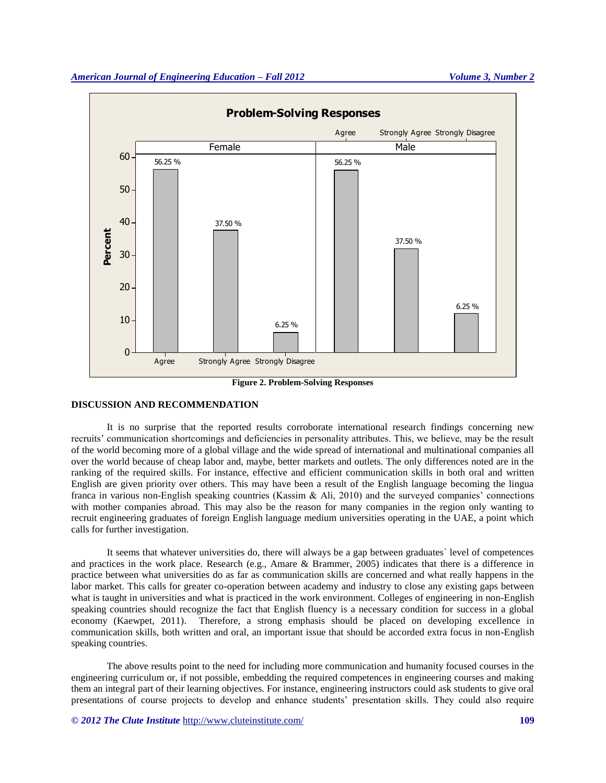

**Figure 2. Problem-Solving Responses**

## **DISCUSSION AND RECOMMENDATION**

It is no surprise that the reported results corroborate international research findings concerning new recruits' communication shortcomings and deficiencies in personality attributes. This, we believe, may be the result of the world becoming more of a global village and the wide spread of international and multinational companies all over the world because of cheap labor and, maybe, better markets and outlets. The only differences noted are in the ranking of the required skills. For instance, effective and efficient communication skills in both oral and written English are given priority over others. This may have been a result of the English language becoming the lingua franca in various non-English speaking countries (Kassim & Ali, 2010) and the surveyed companies' connections with mother companies abroad. This may also be the reason for many companies in the region only wanting to recruit engineering graduates of foreign English language medium universities operating in the UAE, a point which calls for further investigation.

It seems that whatever universities do, there will always be a gap between graduates` level of competences and practices in the work place. Research (e.g., Amare & Brammer, 2005) indicates that there is a difference in practice between what universities do as far as communication skills are concerned and what really happens in the labor market. This calls for greater co-operation between academy and industry to close any existing gaps between what is taught in universities and what is practiced in the work environment. Colleges of engineering in non-English speaking countries should recognize the fact that English fluency is a necessary condition for success in a global economy (Kaewpet, 2011). Therefore, a strong emphasis should be placed on developing excellence in communication skills, both written and oral, an important issue that should be accorded extra focus in non-English speaking countries.

The above results point to the need for including more communication and humanity focused courses in the engineering curriculum or, if not possible, embedding the required competences in engineering courses and making them an integral part of their learning objectives. For instance, engineering instructors could ask students to give oral presentations of course projects to develop and enhance students' presentation skills. They could also require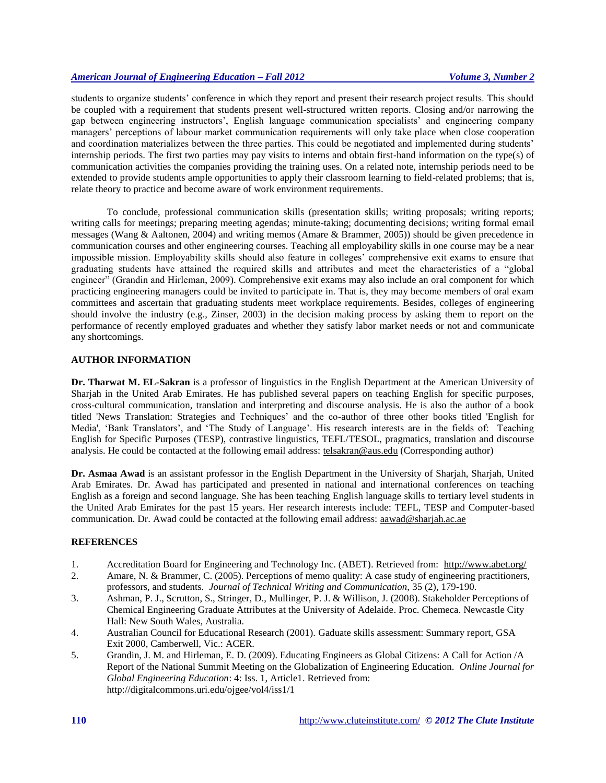students to organize students' conference in which they report and present their research project results. This should be coupled with a requirement that students present well-structured written reports. Closing and/or narrowing the gap between engineering instructors', English language communication specialists' and engineering company managers' perceptions of labour market communication requirements will only take place when close cooperation and coordination materializes between the three parties. This could be negotiated and implemented during students' internship periods. The first two parties may pay visits to interns and obtain first-hand information on the type(s) of communication activities the companies providing the training uses. On a related note, internship periods need to be extended to provide students ample opportunities to apply their classroom learning to field-related problems; that is, relate theory to practice and become aware of work environment requirements.

To conclude, professional communication skills (presentation skills; writing proposals; writing reports; writing calls for meetings; preparing meeting agendas; minute-taking; documenting decisions; writing formal email messages (Wang & Aaltonen, 2004) and writing memos (Amare & Brammer, 2005)) should be given precedence in communication courses and other engineering courses. Teaching all employability skills in one course may be a near impossible mission. Employability skills should also feature in colleges' comprehensive exit exams to ensure that graduating students have attained the required skills and attributes and meet the characteristics of a "global engineer" (Grandin and Hirleman, 2009). Comprehensive exit exams may also include an oral component for which practicing engineering managers could be invited to participate in. That is, they may become members of oral exam committees and ascertain that graduating students meet workplace requirements. Besides, colleges of engineering should involve the industry (e.g., Zinser, 2003) in the decision making process by asking them to report on the performance of recently employed graduates and whether they satisfy labor market needs or not and communicate any shortcomings.

## **AUTHOR INFORMATION**

**Dr. Tharwat M. EL-Sakran** is a professor of linguistics in the English Department at the American University of Sharjah in the United Arab Emirates. He has published several papers on teaching English for specific purposes, cross-cultural communication, translation and interpreting and discourse analysis. He is also the author of a book titled 'News Translation: Strategies and Techniques' and the co-author of three other books titled 'English for Media', 'Bank Translators', and 'The Study of Language'. His research interests are in the fields of: Teaching English for Specific Purposes (TESP), contrastive linguistics, TEFL/TESOL, pragmatics, translation and discourse analysis. He could be contacted at the following email address: [telsakran@aus.edu](mailto:telsakran@aus.edu) (Corresponding author)

**Dr. Asmaa Awad** is an assistant professor in the English Department in the University of Sharjah, Sharjah, United Arab Emirates. Dr. Awad has participated and presented in national and international conferences on teaching English as a foreign and second language. She has been teaching English language skills to tertiary level students in the United Arab Emirates for the past 15 years. Her research interests include: TEFL, TESP and Computer-based communication. Dr. Awad could be contacted at the following email address: [aawad@sharjah.ac.ae](mailto:aawad@sharjah.ac.ae)

## **REFERENCES**

- 1. Accreditation Board for Engineering and Technology Inc. (ABET). Retrieved from: <http://www.abet.org/>
- 2. Amare, N. & Brammer, C. (2005). Perceptions of memo quality: A case study of engineering practitioners, professors, and students. *Journal of Technical Writing and Communication,* 35 (2), 179-190.
- 3. Ashman, P. J., Scrutton, S., Stringer, D., Mullinger, P. J. & Willison, J. (2008). Stakeholder Perceptions of Chemical Engineering Graduate Attributes at the University of Adelaide. Proc. Chemeca. Newcastle City Hall: New South Wales, Australia.
- 4. Australian Council for Educational Research (2001). Gaduate skills assessment: Summary report, GSA Exit 2000, Camberwell, Vic.: ACER.
- 5. Grandin, J. M. and Hirleman, E. D. (2009). Educating Engineers as Global Citizens: A Call for Action /A Report of the National Summit Meeting on the Globalization of Engineering Education. *Online Journal for Global Engineering Education*: 4: Iss. 1, Article1. Retrieved from: <http://digitalcommons.uri.edu/ojgee/vol4/iss1/1>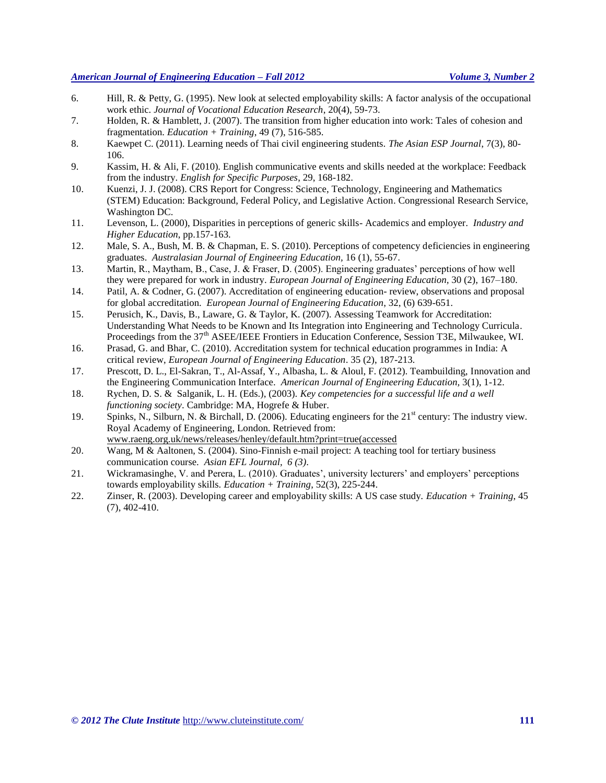- 6. Hill, R. & Petty, G. (1995). New look at selected employability skills: A factor analysis of the occupational work ethic. *Journal of Vocational Education Research*, 20(4), 59-73.
- 7. Holden, R. & Hamblett, J. (2007). The transition from higher education into work: Tales of cohesion and fragmentation. *Education + Training*, 49 (7), 516-585.
- 8. Kaewpet C. (2011). Learning needs of Thai civil engineering students. *The Asian ESP Journal*, 7(3), 80- 106.
- 9. Kassim, H. & Ali, F. (2010). English communicative events and skills needed at the workplace: Feedback from the industry. *English for Specific Purposes*, 29, 168-182.
- 10. Kuenzi, J. J. (2008). CRS Report for Congress: Science, Technology, Engineering and Mathematics (STEM) Education: Background, Federal Policy, and Legislative Action. Congressional Research Service, Washington DC.
- 11. Levenson, L. (2000), Disparities in perceptions of generic skills- Academics and employer. *Industry and Higher Education*, pp.157-163.
- 12. Male, S. A., Bush, M. B. & Chapman, E. S. (2010). Perceptions of competency deficiencies in engineering graduates. *Australasian Journal of Engineering Education,* 16 (1), 55-67.
- 13. Martin, R., Maytham, B., Case, J. & Fraser, D. (2005). Engineering graduates' perceptions of how well they were prepared for work in industry. *European Journal of Engineering Education,* 30 (2), 167–180.
- 14. [Patil, A.](javascript:__doLinkPostBack() & [Codner, G.](javascript:__doLinkPostBack() (2007). Accreditation of engineering education- review, observations and proposal for global accreditation. *[European Journal of Engineering Education](javascript:__doLinkPostBack()*, 32, (6) 639-651.
- 15. Perusich, K., Davis, B., Laware, G. & Taylor, K. (2007). Assessing Teamwork for Accreditation: Understanding What Needs to be Known and Its Integration into Engineering and Technology Curricula. Proceedings from the 37<sup>th</sup> ASEE/IEEE Frontiers in Education Conference, Session T3E, Milwaukee, WI.
- 16. Prasad, G. and Bhar, C. (2010). Accreditation system for technical education programmes in India: A critical review, *[European Journal of Engineering Education](javascript:__doLinkPostBack()*. 35 (2), 187-213.
- 17. Prescott, D. L., El-Sakran, T., Al-Assaf, Y., Albasha, L. & Aloul, F. (2012). Teambuilding, Innovation and the Engineering Communication Interface. *American Journal of Engineering Education,* 3(1), 1-12.
- 18. Rychen, D. S. & Salganik, L. H. (Eds.), (2003). *Key competencies for a successful life and a well functioning society*. [Cambridge: MA,](http://openlibrary.org/search/subjects?q=Cambridge,%20MA) [Hogrefe & Huber.](http://openlibrary.org/search?publisher_facet=Hogrefe%20%26%20Huber)
- 19. Spinks, N., Silburn, N. & Birchall, D. (2006). Educating engineers for the 21<sup>st</sup> century: The industry view. Royal Academy of Engineering, London. Retrieved from: [www.raeng.org.uk/news/releases/henley/default.htm?print=true\(accessed](http://www.raeng.org.uk/news/releases/henley/default.htm?print=true(accessed)
- 20. Wang, M & Aaltonen, S. (2004). Sino-Finnish e-mail project: A teaching tool for tertiary business communication course. *Asian EFL Journal, 6 (3)*.
- 21. Wickramasinghe, V. and Perera, L. (2010). Graduates', university lecturers' and employers' perceptions towards employability skills. *Education + Training*, 52(3), 225-244.
- 22. Zinser, R. (2003). Developing career and employability skills: A US case study. *Education + Training*, 45 (7), 402-410.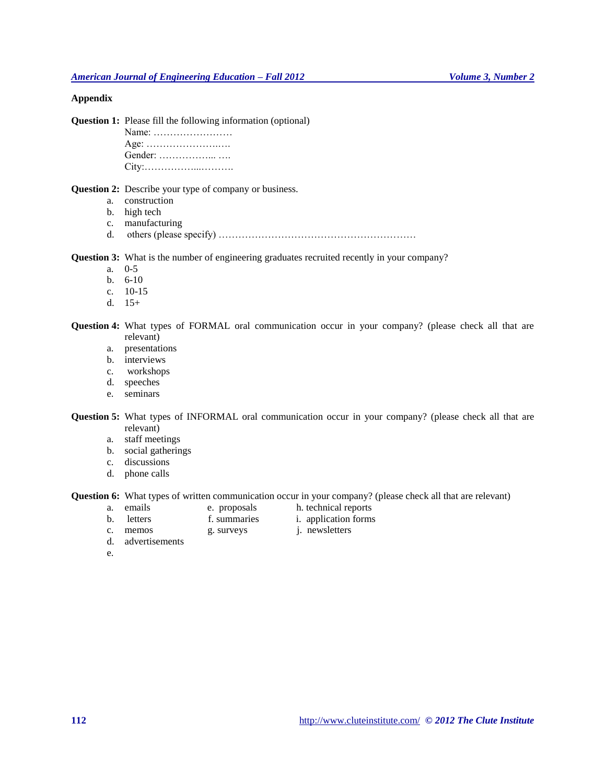# **Appendix**

**Question 1:** Please fill the following information (optional)

Name: …………………… Age: ………………….….

Gender: ……………... …. City:……………...……….

# **Question 2:** Describe your type of company or business.

- a. construction
- b. high tech
- c. manufacturing
- d. others (please specify)  $\ldots$   $\ldots$   $\ldots$   $\ldots$   $\ldots$   $\ldots$   $\ldots$   $\ldots$   $\ldots$   $\ldots$   $\ldots$   $\ldots$

**Question 3:** What is the number of engineering graduates recruited recently in your company?

- a. 0-5
- b. 6-10
- c. 10-15
- d.  $15+$

**Question 4:** What types of FORMAL oral communication occur in your company? (please check all that are relevant)

- a. presentations
- b. interviews
- c. workshops
- d. speeches
- e. seminars

**Question 5:** What types of INFORMAL oral communication occur in your company? (please check all that are relevant)

- a. staff meetings
- b. social gatherings
- c. discussions
- d. phone calls

**Question 6:** What types of written communication occur in your company? (please check all that are relevant) a. emails e. proposals h. technical reports

- 
- e. proposals h. technical reports
- b. letters f. summaries i. application forms
- c. memos g. surveys j. newsletters
- d. advertisements
- 

e.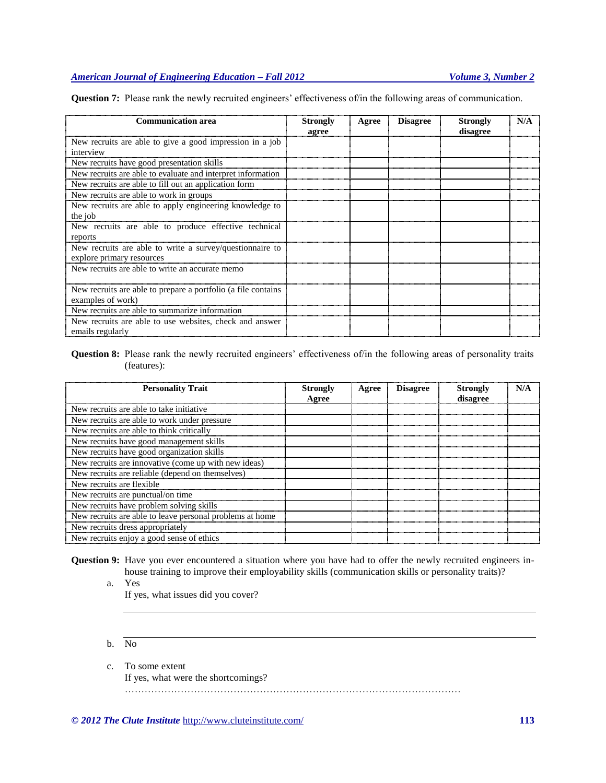**Question 7:** Please rank the newly recruited engineers' effectiveness of/in the following areas of communication.

| <b>Communication area</b>                                     | <b>Strongly</b><br>agree | Agree | <b>Disagree</b> | <b>Strongly</b><br>disagree | N/A |
|---------------------------------------------------------------|--------------------------|-------|-----------------|-----------------------------|-----|
| New recruits are able to give a good impression in a job      |                          |       |                 |                             |     |
| interview                                                     |                          |       |                 |                             |     |
| New recruits have good presentation skills                    |                          |       |                 |                             |     |
| New recruits are able to evaluate and interpret information   |                          |       |                 |                             |     |
| New recruits are able to fill out an application form         |                          |       |                 |                             |     |
| New recruits are able to work in groups                       |                          |       |                 |                             |     |
| New recruits are able to apply engineering knowledge to       |                          |       |                 |                             |     |
| the job                                                       |                          |       |                 |                             |     |
| New recruits are able to produce effective technical          |                          |       |                 |                             |     |
| reports                                                       |                          |       |                 |                             |     |
| New recruits are able to write a survey/question aire to      |                          |       |                 |                             |     |
| explore primary resources                                     |                          |       |                 |                             |     |
| New recruits are able to write an accurate memo               |                          |       |                 |                             |     |
|                                                               |                          |       |                 |                             |     |
| New recruits are able to prepare a portfolio (a file contains |                          |       |                 |                             |     |
| examples of work)                                             |                          |       |                 |                             |     |
| New recruits are able to summarize information                |                          |       |                 |                             |     |
| New recruits are able to use websites, check and answer       |                          |       |                 |                             |     |
| emails regularly                                              |                          |       |                 |                             |     |

# **Question 8:** Please rank the newly recruited engineers' effectiveness of/in the following areas of personality traits (features):

| <b>Personality Trait</b>                                 | <b>Strongly</b><br>Agree | Agree | <b>Disagree</b> | Strongly<br>disagree | N/A |
|----------------------------------------------------------|--------------------------|-------|-----------------|----------------------|-----|
| New recruits are able to take initiative.                |                          |       |                 |                      |     |
| New recruits are able to work under pressure             |                          |       |                 |                      |     |
| New recruits are able to think critically                |                          |       |                 |                      |     |
| New recruits have good management skills                 |                          |       |                 |                      |     |
| New recruits have good organization skills               |                          |       |                 |                      |     |
| New recruits are innovative (come up with new ideas)     |                          |       |                 |                      |     |
| New recruits are reliable (depend on themselves)         |                          |       |                 |                      |     |
| New recruits are flexible.                               |                          |       |                 |                      |     |
| New recruits are punctual/on time.                       |                          |       |                 |                      |     |
| New recruits have problem solving skills                 |                          |       |                 |                      |     |
| New recruits are able to leave personal problems at home |                          |       |                 |                      |     |
| New recruits dress appropriately                         |                          |       |                 |                      |     |
| New recruits enjoy a good sense of ethics                |                          |       |                 |                      |     |

**Question 9:** Have you ever encountered a situation where you have had to offer the newly recruited engineers inhouse training to improve their employability skills (communication skills or personality traits)?

a. Yes

If yes, what issues did you cover?

- b. No
- c. To some extent
	- If yes, what were the shortcomings?

…………………………………………………………………………………………

*© 2012 The Clute Institute* http://www.cluteinstitute.com/ **113**